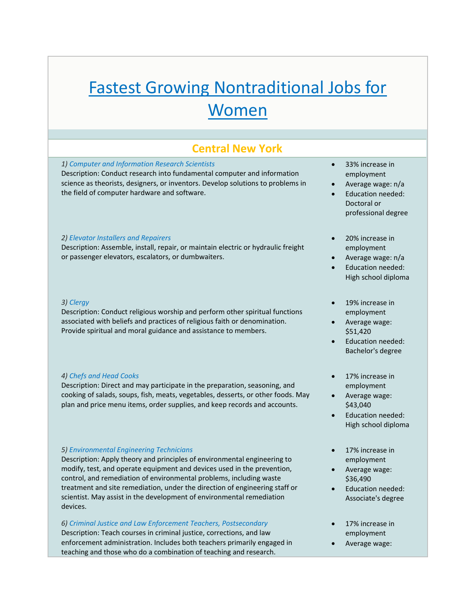# Fastest Growing Nontraditional Jobs for Women

# **Central New York**

## *1) Computer and Information Research Scientists*

Description: Conduct research into fundamental computer and information science as theorists, designers, or inventors. Develop solutions to problems in the field of computer hardware and software.

# *2) Elevator Installers and Repairers*

Description: Assemble, install, repair, or maintain electric or hydraulic freight or passenger elevators, escalators, or dumbwaiters.

#### *3) Clergy*

Description: Conduct religious worship and perform other spiritual functions associated with beliefs and practices of religious faith or denomination. Provide spiritual and moral guidance and assistance to members.

#### *4) Chefs and Head Cooks*

Description: Direct and may participate in the preparation, seasoning, and cooking of salads, soups, fish, meats, vegetables, desserts, or other foods. May plan and price menu items, order supplies, and keep records and accounts.

# *5) Environmental Engineering Technicians*

Description: Apply theory and principles of environmental engineering to modify, test, and operate equipment and devices used in the prevention, control, and remediation of environmental problems, including waste treatment and site remediation, under the direction of engineering staff or scientist. May assist in the development of environmental remediation devices.

#### *6) Criminal Justice and Law Enforcement Teachers, Postsecondary*

Description: Teach courses in criminal justice, corrections, and law enforcement administration. Includes both teachers primarily engaged in teaching and those who do a combination of teaching and research.

- 33% increase in employment
- Average wage: n/a
- Education needed: Doctoral or professional degree
- 20% increase in employment
- Average wage: n/a
- Education needed: High school diploma
- 19% increase in employment
- Average wage: \$51,420
- Education needed: Bachelor's degree
- 17% increase in employment
- Average wage: \$43,040
- Education needed: High school diploma
- 17% increase in employment
- Average wage: \$36,490
- Education needed: Associate's degree
- 17% increase in employment
- Average wage: